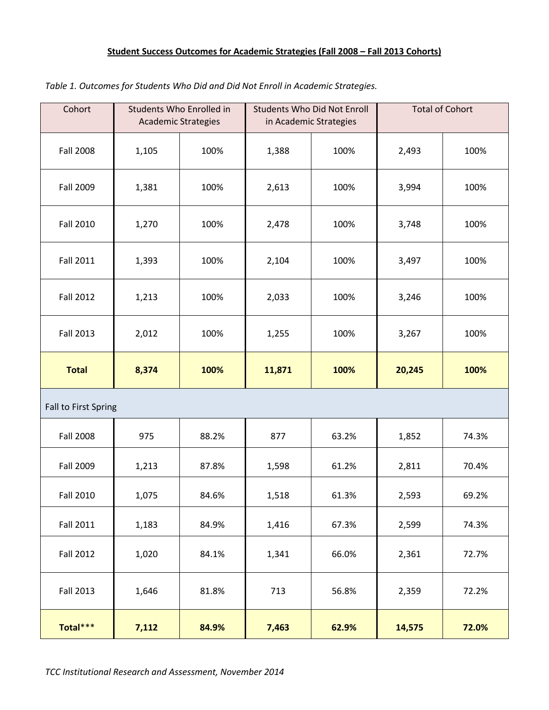## **Student Success Outcomes for Academic Strategies (Fall 2008 – Fall 2013 Cohorts)**

| Cohort               | <b>Academic Strategies</b> | Students Who Enrolled in | in Academic Strategies | <b>Students Who Did Not Enroll</b> | <b>Total of Cohort</b> |       |
|----------------------|----------------------------|--------------------------|------------------------|------------------------------------|------------------------|-------|
| <b>Fall 2008</b>     | 1,105                      | 100%                     | 1,388                  | 100%                               | 2,493                  | 100%  |
| <b>Fall 2009</b>     | 1,381                      | 100%                     | 2,613                  | 100%                               | 3,994                  | 100%  |
| <b>Fall 2010</b>     | 1,270                      | 100%                     | 2,478                  | 100%                               | 3,748                  | 100%  |
| <b>Fall 2011</b>     | 1,393                      | 100%                     | 2,104                  | 100%                               | 3,497                  | 100%  |
| <b>Fall 2012</b>     | 1,213                      | 100%                     | 2,033                  | 100%                               | 3,246                  | 100%  |
| <b>Fall 2013</b>     | 2,012                      | 100%                     | 1,255                  | 100%                               | 3,267                  | 100%  |
| <b>Total</b>         | 8,374                      | 100%                     | 11,871                 | 100%                               | 20,245                 | 100%  |
| Fall to First Spring |                            |                          |                        |                                    |                        |       |
| <b>Fall 2008</b>     | 975                        | 88.2%                    | 877                    | 63.2%                              | 1,852                  | 74.3% |
| <b>Fall 2009</b>     | 1,213                      | 87.8%                    | 1,598                  | 61.2%                              | 2,811                  | 70.4% |
| <b>Fall 2010</b>     | 1,075                      | 84.6%                    | 1,518                  | 61.3%                              | 2,593                  | 69.2% |
| <b>Fall 2011</b>     | 1,183                      | 84.9%                    | 1,416                  | 67.3%                              | 2,599                  | 74.3% |
| <b>Fall 2012</b>     | 1,020                      | 84.1%                    | 1,341                  | 66.0%                              | 2,361                  | 72.7% |
| <b>Fall 2013</b>     | 1,646                      | 81.8%                    | 713                    | 56.8%                              | 2,359                  | 72.2% |
| Total***             | 7,112                      | 84.9%                    | 7,463                  | 62.9%                              | 14,575                 | 72.0% |

*Table 1. Outcomes for Students Who Did and Did Not Enroll in Academic Strategies.*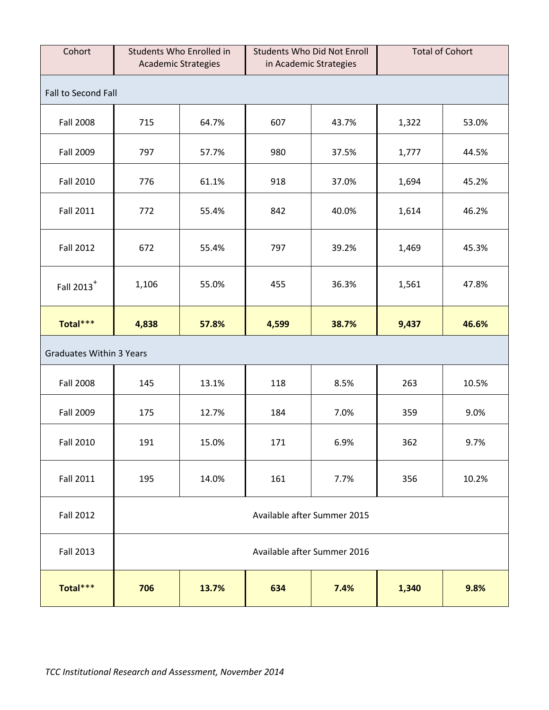| Cohort                          | <b>Academic Strategies</b>  | Students Who Enrolled in              |                             | <b>Students Who Did Not Enroll</b><br>in Academic Strategies | <b>Total of Cohort</b> |       |  |  |
|---------------------------------|-----------------------------|---------------------------------------|-----------------------------|--------------------------------------------------------------|------------------------|-------|--|--|
| Fall to Second Fall             |                             |                                       |                             |                                                              |                        |       |  |  |
| <b>Fall 2008</b>                | 715                         | 64.7%                                 | 607                         | 43.7%                                                        | 1,322                  | 53.0% |  |  |
| Fall 2009                       | 797                         | 57.7%                                 | 980                         | 37.5%                                                        | 1,777                  | 44.5% |  |  |
| <b>Fall 2010</b>                | 776                         | 61.1%                                 | 918                         | 37.0%                                                        | 1,694                  | 45.2% |  |  |
| <b>Fall 2011</b>                | 772                         | 55.4%                                 | 842                         | 40.0%                                                        | 1,614                  | 46.2% |  |  |
| <b>Fall 2012</b>                | 672                         | 55.4%                                 | 797                         | 39.2%                                                        | 1,469                  | 45.3% |  |  |
| Fall 2013 <sup>+</sup>          | 1,106                       | 55.0%                                 | 455                         | 36.3%                                                        | 1,561                  | 47.8% |  |  |
| Total***                        | 4,838                       | 57.8%                                 | 4,599                       | 38.7%                                                        | 9,437                  | 46.6% |  |  |
| <b>Graduates Within 3 Years</b> |                             |                                       |                             |                                                              |                        |       |  |  |
| <b>Fall 2008</b>                | 145                         | 13.1%                                 | 118                         | 8.5%                                                         | 263                    | 10.5% |  |  |
| Fall 2009                       | 175                         | 12.7%                                 | 184                         | 7.0%                                                         | 359                    | 9.0%  |  |  |
| <b>Fall 2010</b>                | 191                         | 15.0%                                 | 171                         | 6.9%                                                         | 362                    | 9.7%  |  |  |
| <b>Fall 2011</b>                | 195                         | 14.0%                                 | 161                         | 7.7%                                                         | 356                    | 10.2% |  |  |
| <b>Fall 2012</b>                | Available after Summer 2015 |                                       |                             |                                                              |                        |       |  |  |
| <b>Fall 2013</b>                |                             |                                       | Available after Summer 2016 |                                                              |                        |       |  |  |
| Total***                        | 706                         | 13.7%<br>634<br>7.4%<br>1,340<br>9.8% |                             |                                                              |                        |       |  |  |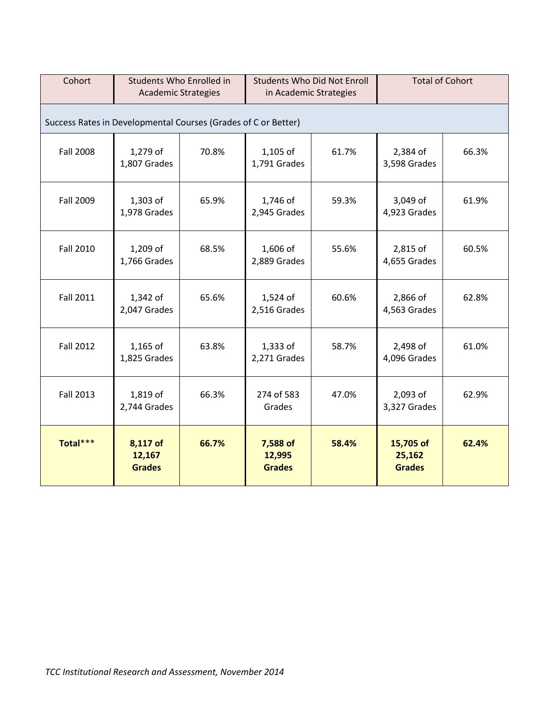| Cohort           | Students Who Enrolled in<br><b>Academic Strategies</b>         |       | <b>Students Who Did Not Enroll</b><br>in Academic Strategies |       | <b>Total of Cohort</b>               |       |  |  |  |
|------------------|----------------------------------------------------------------|-------|--------------------------------------------------------------|-------|--------------------------------------|-------|--|--|--|
|                  | Success Rates in Developmental Courses (Grades of C or Better) |       |                                                              |       |                                      |       |  |  |  |
| <b>Fall 2008</b> | 1,279 of<br>1,807 Grades                                       | 70.8% | 1,105 of<br>1,791 Grades                                     | 61.7% | 2,384 of<br>3,598 Grades             | 66.3% |  |  |  |
| <b>Fall 2009</b> | 1,303 of<br>1,978 Grades                                       | 65.9% | 1,746 of<br>2,945 Grades                                     | 59.3% | 3,049 of<br>4,923 Grades             | 61.9% |  |  |  |
| <b>Fall 2010</b> | 1,209 of<br>1,766 Grades                                       | 68.5% | 1,606 of<br>2,889 Grades                                     | 55.6% | 2,815 of<br>4,655 Grades             | 60.5% |  |  |  |
| <b>Fall 2011</b> | 1,342 of<br>2,047 Grades                                       | 65.6% | 1,524 of<br>2,516 Grades                                     | 60.6% | 2,866 of<br>4,563 Grades             | 62.8% |  |  |  |
| <b>Fall 2012</b> | 1,165 of<br>1,825 Grades                                       | 63.8% | $1,333$ of<br>2,271 Grades                                   | 58.7% | 2,498 of<br>4,096 Grades             | 61.0% |  |  |  |
| <b>Fall 2013</b> | 1,819 of<br>2,744 Grades                                       | 66.3% | 274 of 583<br>Grades                                         | 47.0% | 2,093 of<br>3,327 Grades             | 62.9% |  |  |  |
| Total***         | 8,117 of<br>12,167<br><b>Grades</b>                            | 66.7% | 7,588 of<br>12,995<br><b>Grades</b>                          | 58.4% | 15,705 of<br>25,162<br><b>Grades</b> | 62.4% |  |  |  |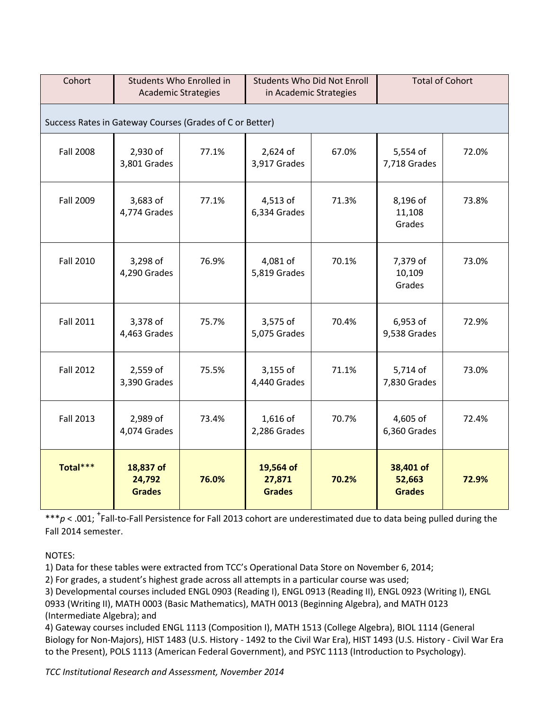| Cohort                                                   | Students Who Enrolled in<br><b>Academic Strategies</b> |       | <b>Students Who Did Not Enroll</b><br>in Academic Strategies |       | <b>Total of Cohort</b>               |       |  |  |
|----------------------------------------------------------|--------------------------------------------------------|-------|--------------------------------------------------------------|-------|--------------------------------------|-------|--|--|
| Success Rates in Gateway Courses (Grades of C or Better) |                                                        |       |                                                              |       |                                      |       |  |  |
| <b>Fall 2008</b>                                         | 2,930 of<br>3,801 Grades                               | 77.1% | 2,624 of<br>3,917 Grades                                     | 67.0% | 5,554 of<br>7,718 Grades             | 72.0% |  |  |
| Fall 2009                                                | 3,683 of<br>4,774 Grades                               | 77.1% | 4,513 of<br>6,334 Grades                                     | 71.3% | 8,196 of<br>11,108<br>Grades         | 73.8% |  |  |
| <b>Fall 2010</b>                                         | 3,298 of<br>4,290 Grades                               | 76.9% | 4,081 of<br>5,819 Grades                                     | 70.1% | 7,379 of<br>10,109<br>Grades         | 73.0% |  |  |
| <b>Fall 2011</b>                                         | 3,378 of<br>4,463 Grades                               | 75.7% | 3,575 of<br>5,075 Grades                                     | 70.4% | 6,953 of<br>9,538 Grades             | 72.9% |  |  |
| <b>Fall 2012</b>                                         | 2,559 of<br>3,390 Grades                               | 75.5% | 3,155 of<br>4,440 Grades                                     | 71.1% | 5,714 of<br>7,830 Grades             | 73.0% |  |  |
| <b>Fall 2013</b>                                         | 2,989 of<br>4,074 Grades                               | 73.4% | 1,616 of<br>2,286 Grades                                     | 70.7% | 4,605 of<br>6,360 Grades             | 72.4% |  |  |
| Total***                                                 | 18,837 of<br>24,792<br><b>Grades</b>                   | 76.0% | 19,564 of<br>27,871<br><b>Grades</b>                         | 70.2% | 38,401 of<br>52,663<br><b>Grades</b> | 72.9% |  |  |

\*\*\*p < .001; <sup>+</sup>Fall-to-Fall Persistence for Fall 2013 cohort are underestimated due to data being pulled during the Fall 2014 semester.

NOTES:

1) Data for these tables were extracted from TCC's Operational Data Store on November 6, 2014;

2) For grades, a student's highest grade across all attempts in a particular course was used;

3) Developmental courses included ENGL 0903 (Reading I), ENGL 0913 (Reading II), ENGL 0923 (Writing I), ENGL 0933 (Writing II), MATH 0003 (Basic Mathematics), MATH 0013 (Beginning Algebra), and MATH 0123 (Intermediate Algebra); and

4) Gateway courses included ENGL 1113 (Composition I), MATH 1513 (College Algebra), BIOL 1114 (General Biology for Non-Majors), HIST 1483 (U.S. History - 1492 to the Civil War Era), HIST 1493 (U.S. History - Civil War Era to the Present), POLS 1113 (American Federal Government), and PSYC 1113 (Introduction to Psychology).

*TCC Institutional Research and Assessment, November 2014*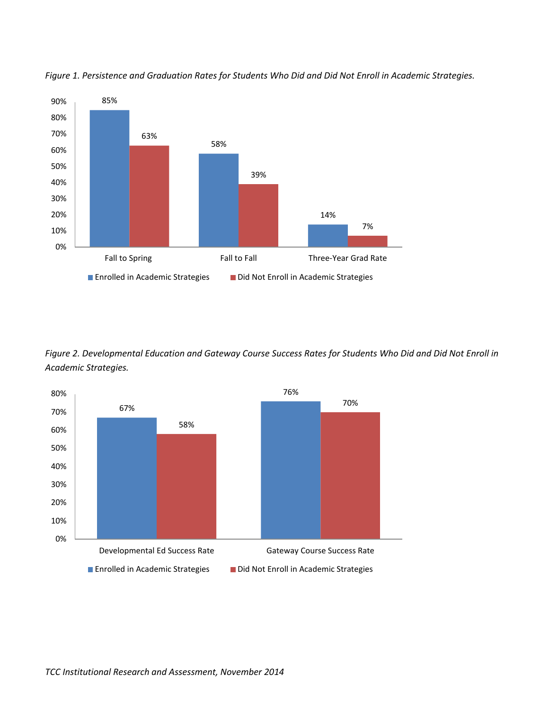

*Figure 1. Persistence and Graduation Rates for Students Who Did and Did Not Enroll in Academic Strategies.*

*Figure 2. Developmental Education and Gateway Course Success Rates for Students Who Did and Did Not Enroll in Academic Strategies.*

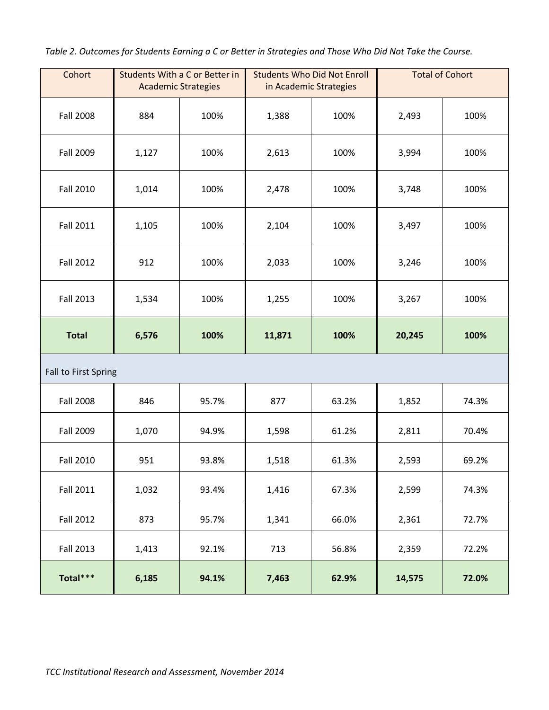*Table 2. Outcomes for Students Earning a C or Better in Strategies and Those Who Did Not Take the Course.* 

| Cohort               | Students With a C or Better in | <b>Academic Strategies</b> |        | <b>Students Who Did Not Enroll</b><br>in Academic Strategies | <b>Total of Cohort</b> |       |
|----------------------|--------------------------------|----------------------------|--------|--------------------------------------------------------------|------------------------|-------|
| <b>Fall 2008</b>     | 884                            | 100%                       | 1,388  | 100%                                                         | 2,493                  | 100%  |
| Fall 2009            | 1,127                          | 100%                       | 2,613  | 100%                                                         | 3,994                  | 100%  |
| <b>Fall 2010</b>     | 1,014                          | 100%                       | 2,478  | 100%                                                         | 3,748                  | 100%  |
| <b>Fall 2011</b>     | 1,105                          | 100%                       | 2,104  | 100%                                                         | 3,497                  | 100%  |
| <b>Fall 2012</b>     | 912                            | 100%                       | 2,033  | 100%                                                         | 3,246                  | 100%  |
| <b>Fall 2013</b>     | 1,534                          | 100%                       | 1,255  | 100%                                                         | 3,267                  | 100%  |
| <b>Total</b>         | 6,576                          | 100%                       | 11,871 | 100%                                                         | 20,245                 | 100%  |
| Fall to First Spring |                                |                            |        |                                                              |                        |       |
| <b>Fall 2008</b>     | 846                            | 95.7%                      | 877    | 63.2%                                                        | 1,852                  | 74.3% |
| Fall 2009            | 1,070                          | 94.9%                      | 1,598  | 61.2%                                                        | 2,811                  | 70.4% |
| <b>Fall 2010</b>     | 951                            | 93.8%                      | 1,518  | 61.3%                                                        | 2,593                  | 69.2% |
| <b>Fall 2011</b>     | 1,032                          | 93.4%                      | 1,416  | 67.3%                                                        | 2,599                  | 74.3% |
| <b>Fall 2012</b>     | 873                            | 95.7%                      | 1,341  | 66.0%                                                        | 2,361                  | 72.7% |
| <b>Fall 2013</b>     | 1,413                          | 92.1%                      | 713    | 56.8%                                                        | 2,359                  | 72.2% |
| Total***             | 6,185                          | 94.1%                      | 7,463  | 62.9%                                                        | 14,575                 | 72.0% |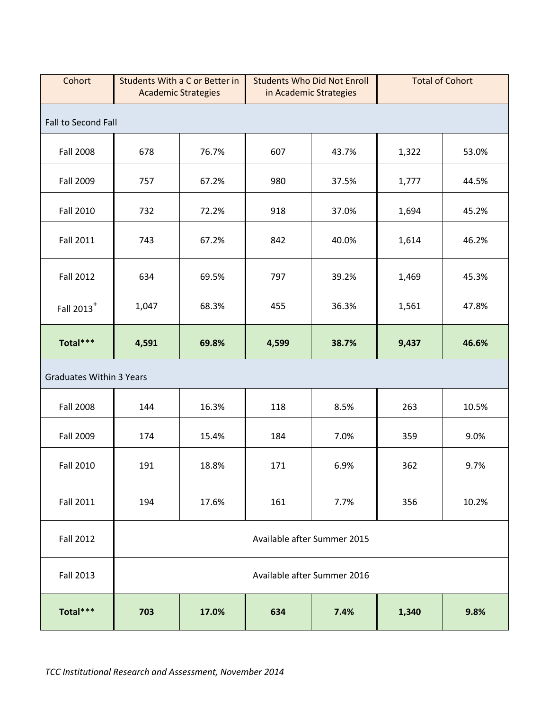| Cohort                          |                             | Students With a C or Better in<br><b>Students Who Did Not Enroll</b><br><b>Academic Strategies</b><br>in Academic Strategies |                             |       |       | <b>Total of Cohort</b> |  |  |
|---------------------------------|-----------------------------|------------------------------------------------------------------------------------------------------------------------------|-----------------------------|-------|-------|------------------------|--|--|
| Fall to Second Fall             |                             |                                                                                                                              |                             |       |       |                        |  |  |
| <b>Fall 2008</b>                | 678                         | 76.7%                                                                                                                        | 607                         | 43.7% | 1,322 | 53.0%                  |  |  |
| Fall 2009                       | 757                         | 67.2%                                                                                                                        | 980                         | 37.5% | 1,777 | 44.5%                  |  |  |
| <b>Fall 2010</b>                | 732                         | 72.2%                                                                                                                        | 918                         | 37.0% | 1,694 | 45.2%                  |  |  |
| <b>Fall 2011</b>                | 743                         | 67.2%                                                                                                                        | 842                         | 40.0% | 1,614 | 46.2%                  |  |  |
| <b>Fall 2012</b>                | 634                         | 69.5%                                                                                                                        | 797                         | 39.2% | 1,469 | 45.3%                  |  |  |
| Fall 2013 <sup>+</sup>          | 1,047                       | 68.3%                                                                                                                        | 455                         | 36.3% | 1,561 | 47.8%                  |  |  |
| Total***                        | 4,591                       | 69.8%                                                                                                                        | 4,599                       | 38.7% | 9,437 | 46.6%                  |  |  |
| <b>Graduates Within 3 Years</b> |                             |                                                                                                                              |                             |       |       |                        |  |  |
| <b>Fall 2008</b>                | 144                         | 16.3%                                                                                                                        | 118                         | 8.5%  | 263   | 10.5%                  |  |  |
| Fall 2009                       | 174                         | 15.4%                                                                                                                        | 184                         | 7.0%  | 359   | 9.0%                   |  |  |
| <b>Fall 2010</b>                | 191                         | 18.8%                                                                                                                        | 171                         | 6.9%  | 362   | 9.7%                   |  |  |
| <b>Fall 2011</b>                | 194                         | 17.6%                                                                                                                        | 161                         | 7.7%  | 356   | 10.2%                  |  |  |
| <b>Fall 2012</b>                | Available after Summer 2015 |                                                                                                                              |                             |       |       |                        |  |  |
| <b>Fall 2013</b>                |                             |                                                                                                                              | Available after Summer 2016 |       |       |                        |  |  |
| Total***                        | 703                         | 634<br>7.4%<br>1,340<br>17.0%<br>9.8%                                                                                        |                             |       |       |                        |  |  |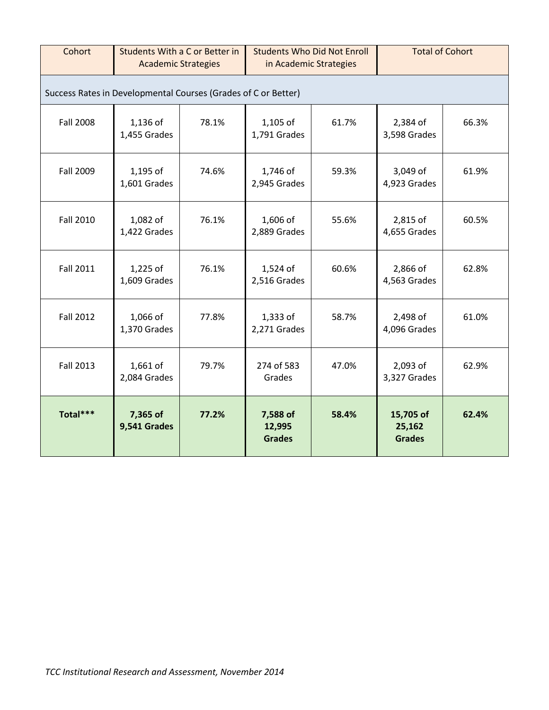| Cohort                                                         | Students With a C or Better in<br><b>Academic Strategies</b> |       | <b>Students Who Did Not Enroll</b><br>in Academic Strategies |       | <b>Total of Cohort</b>               |       |  |  |
|----------------------------------------------------------------|--------------------------------------------------------------|-------|--------------------------------------------------------------|-------|--------------------------------------|-------|--|--|
| Success Rates in Developmental Courses (Grades of C or Better) |                                                              |       |                                                              |       |                                      |       |  |  |
| <b>Fall 2008</b>                                               | 1,136 of<br>1,455 Grades                                     | 78.1% | 1,105 of<br>1,791 Grades                                     | 61.7% | 2,384 of<br>3,598 Grades             | 66.3% |  |  |
| <b>Fall 2009</b>                                               | 1,195 of<br>1,601 Grades                                     | 74.6% | 1,746 of<br>2,945 Grades                                     | 59.3% | 3,049 of<br>4,923 Grades             | 61.9% |  |  |
| <b>Fall 2010</b>                                               | 1,082 of<br>1,422 Grades                                     | 76.1% | 1,606 of<br>2,889 Grades                                     | 55.6% | 2,815 of<br>4,655 Grades             | 60.5% |  |  |
| <b>Fall 2011</b>                                               | $1,225$ of<br>1,609 Grades                                   | 76.1% | 1,524 of<br>2,516 Grades                                     | 60.6% | 2,866 of<br>4,563 Grades             | 62.8% |  |  |
| <b>Fall 2012</b>                                               | 1,066 of<br>1,370 Grades                                     | 77.8% | 1,333 of<br>2,271 Grades                                     | 58.7% | 2,498 of<br>4,096 Grades             | 61.0% |  |  |
| <b>Fall 2013</b>                                               | 1,661 of<br>2,084 Grades                                     | 79.7% | 274 of 583<br>Grades                                         | 47.0% | 2,093 of<br>3,327 Grades             | 62.9% |  |  |
| Total***                                                       | 7,365 of<br>9,541 Grades                                     | 77.2% | 7,588 of<br>12,995<br><b>Grades</b>                          | 58.4% | 15,705 of<br>25,162<br><b>Grades</b> | 62.4% |  |  |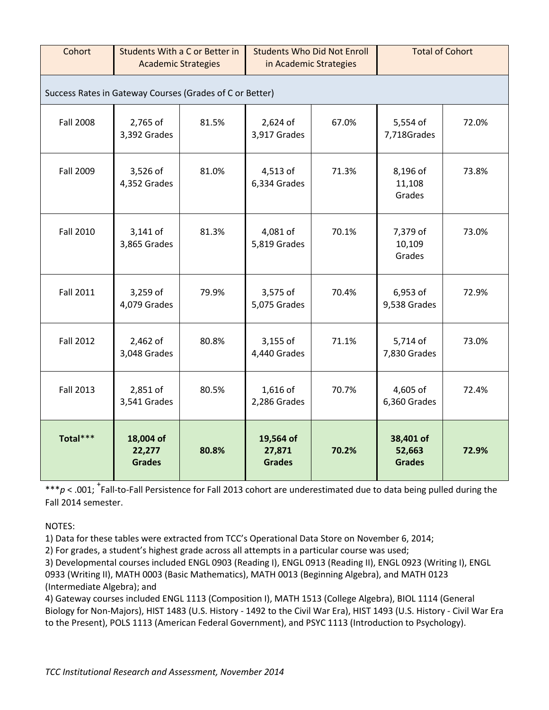| Cohort           | Students With a C or Better in<br><b>Academic Strategies</b> |       | <b>Students Who Did Not Enroll</b><br>in Academic Strategies |       | <b>Total of Cohort</b>               |       |  |  |  |
|------------------|--------------------------------------------------------------|-------|--------------------------------------------------------------|-------|--------------------------------------|-------|--|--|--|
|                  | Success Rates in Gateway Courses (Grades of C or Better)     |       |                                                              |       |                                      |       |  |  |  |
| <b>Fall 2008</b> | 2,765 of<br>3,392 Grades                                     | 81.5% | 2,624 of<br>3,917 Grades                                     | 67.0% | 5,554 of<br>7,718Grades              | 72.0% |  |  |  |
| Fall 2009        | 3,526 of<br>4,352 Grades                                     | 81.0% | 4,513 of<br>6,334 Grades                                     | 71.3% | 8,196 of<br>11,108<br>Grades         | 73.8% |  |  |  |
| <b>Fall 2010</b> | 3,141 of<br>3,865 Grades                                     | 81.3% | 4,081 of<br>5,819 Grades                                     | 70.1% | 7,379 of<br>10,109<br>Grades         | 73.0% |  |  |  |
| <b>Fall 2011</b> | 3,259 of<br>4,079 Grades                                     | 79.9% | 3,575 of<br>5,075 Grades                                     | 70.4% | 6,953 of<br>9,538 Grades             | 72.9% |  |  |  |
| <b>Fall 2012</b> | 2,462 of<br>3,048 Grades                                     | 80.8% | 3,155 of<br>4,440 Grades                                     | 71.1% | 5,714 of<br>7,830 Grades             | 73.0% |  |  |  |
| <b>Fall 2013</b> | 2,851 of<br>3,541 Grades                                     | 80.5% | 1,616 of<br>2,286 Grades                                     | 70.7% | 4,605 of<br>6,360 Grades             | 72.4% |  |  |  |
| Total***         | 18,004 of<br>22,277<br><b>Grades</b>                         | 80.8% | 19,564 of<br>27,871<br><b>Grades</b>                         | 70.2% | 38,401 of<br>52,663<br><b>Grades</b> | 72.9% |  |  |  |

\*\*\*p < .001; <sup>+</sup>Fall-to-Fall Persistence for Fall 2013 cohort are underestimated due to data being pulled during the Fall 2014 semester.

NOTES:

1) Data for these tables were extracted from TCC's Operational Data Store on November 6, 2014;

2) For grades, a student's highest grade across all attempts in a particular course was used;

3) Developmental courses included ENGL 0903 (Reading I), ENGL 0913 (Reading II), ENGL 0923 (Writing I), ENGL 0933 (Writing II), MATH 0003 (Basic Mathematics), MATH 0013 (Beginning Algebra), and MATH 0123 (Intermediate Algebra); and

4) Gateway courses included ENGL 1113 (Composition I), MATH 1513 (College Algebra), BIOL 1114 (General Biology for Non-Majors), HIST 1483 (U.S. History - 1492 to the Civil War Era), HIST 1493 (U.S. History - Civil War Era to the Present), POLS 1113 (American Federal Government), and PSYC 1113 (Introduction to Psychology).